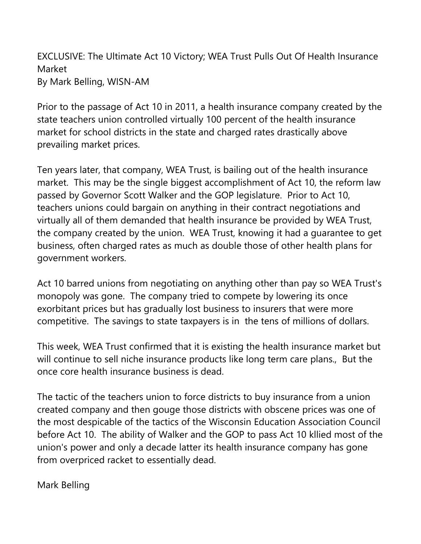EXCLUSIVE: The Ultimate Act 10 Victory; WEA Trust Pulls Out Of Health Insurance Market By Mark Belling, WISN-AM

Prior to the passage of Act 10 in 2011, a health insurance company created by the state teachers union controlled virtually 100 percent of the health insurance market for school districts in the state and charged rates drastically above prevailing market prices.

Ten years later, that company, WEA Trust, is bailing out of the health insurance market. This may be the single biggest accomplishment of Act 10, the reform law passed by Governor Scott Walker and the GOP legislature. Prior to Act 10, teachers unions could bargain on anything in their contract negotiations and virtually all of them demanded that health insurance be provided by WEA Trust, the company created by the union. WEA Trust, knowing it had a guarantee to get business, often charged rates as much as double those of other health plans for government workers.

Act 10 barred unions from negotiating on anything other than pay so WEA Trust's monopoly was gone. The company tried to compete by lowering its once exorbitant prices but has gradually lost business to insurers that were more competitive. The savings to state taxpayers is in the tens of millions of dollars.

This week, WEA Trust confirmed that it is existing the health insurance market but will continue to sell niche insurance products like long term care plans., But the once core health insurance business is dead.

The tactic of the teachers union to force districts to buy insurance from a union created company and then gouge those districts with obscene prices was one of the most despicable of the tactics of the Wisconsin Education Association Council before Act 10. The ability of Walker and the GOP to pass Act 10 kllied most of the union's power and only a decade latter its health insurance company has gone from overpriced racket to essentially dead.

Mark Belling